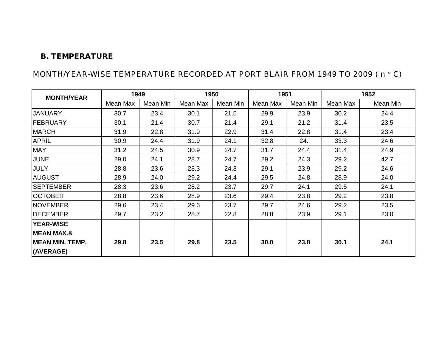#### **B. TEMPERATURE**

## MONTH/YEAR-WISE TEMPERATURE RECORDED AT PORT BLAIR FROM 1949 TO 2009 (in °C)

| <b>MONTH/YEAR</b>      | 1949     |          | 1950     |          | 1951     |          |          | 1952     |
|------------------------|----------|----------|----------|----------|----------|----------|----------|----------|
|                        | Mean Max | Mean Min | Mean Max | Mean Min | Mean Max | Mean Min | Mean Max | Mean Min |
| <b>JANUARY</b>         | 30.7     | 23.4     | 30.1     | 21.5     | 29.9     | 23.9     | 30.2     | 24.4     |
| <b>FEBRUARY</b>        | 30.1     | 21.4     | 30.7     | 21.4     | 29.1     | 21.2     | 31.4     | 23.5     |
| <b>MARCH</b>           | 31.9     | 22.8     | 31.9     | 22.9     | 31.4     | 22.8     | 31.4     | 23.4     |
| <b>APRIL</b>           | 30.9     | 24.4     | 31.9     | 24.1     | 32.8     | 24.      | 33.3     | 24.6     |
| <b>MAY</b>             | 31.2     | 24.5     | 30.9     | 24.7     | 31.7     | 24.4     | 31.4     | 24.9     |
| <b>JUNE</b>            | 29.0     | 24.1     | 28.7     | 24.7     | 29.2     | 24.3     | 29.2     | 42.7     |
| <b>JULY</b>            | 28.8     | 23.6     | 28.3     | 24.3     | 29.1     | 23.9     | 29.2     | 24.6     |
| <b>AUGUST</b>          | 28.9     | 24.0     | 29.2     | 24.4     | 29.5     | 24.8     | 28.9     | 24.0     |
| <b>SEPTEMBER</b>       | 28.3     | 23.6     | 28.2     | 23.7     | 29.7     | 24.1     | 29.5     | 24.1     |
| <b>OCTOBER</b>         | 28.8     | 23.6     | 28.9     | 23.6     | 29.4     | 23.8     | 29.2     | 23.8     |
| <b>NOVEMBER</b>        | 29.6     | 23.4     | 29.6     | 23.7     | 29.7     | 24.6     | 29.2     | 23.5     |
| <b>DECEMBER</b>        | 29.7     | 23.2     | 28.7     | 22.8     | 28.8     | 23.9     | 29.1     | 23.0     |
| <b>YEAR-WISE</b>       |          |          |          |          |          |          |          |          |
| <b>MEAN MAX.&amp;</b>  |          |          |          |          |          |          |          |          |
| <b>MEAN MIN. TEMP.</b> | 29.8     | 23.5     | 29.8     | 23.5     | 30.0     | 23.8     | 30.1     | 24.1     |
| (AVERAGE)              |          |          |          |          |          |          |          |          |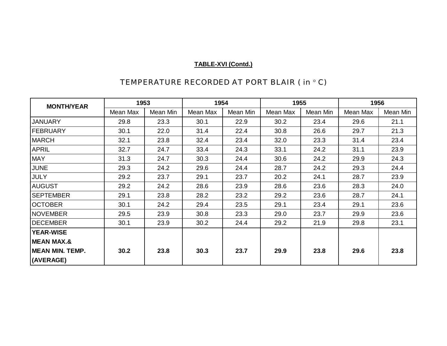| <b>MONTH/YEAR</b>     | 1953     |          | 1954     |          | 1955     |          | 1956     |          |
|-----------------------|----------|----------|----------|----------|----------|----------|----------|----------|
|                       | Mean Max | Mean Min | Mean Max | Mean Min | Mean Max | Mean Min | Mean Max | Mean Min |
| <b>JANUARY</b>        | 29.8     | 23.3     | 30.1     | 22.9     | 30.2     | 23.4     | 29.6     | 21.1     |
| FEBRUARY              | 30.1     | 22.0     | 31.4     | 22.4     | 30.8     | 26.6     | 29.7     | 21.3     |
| <b>MARCH</b>          | 32.1     | 23.8     | 32.4     | 23.4     | 32.0     | 23.3     | 31.4     | 23.4     |
| <b>APRIL</b>          | 32.7     | 24.7     | 33.4     | 24.3     | 33.1     | 24.2     | 31.1     | 23.9     |
| <b>MAY</b>            | 31.3     | 24.7     | 30.3     | 24.4     | 30.6     | 24.2     | 29.9     | 24.3     |
| <b>JUNE</b>           | 29.3     | 24.2     | 29.6     | 24.4     | 28.7     | 24.2     | 29.3     | 24.4     |
| <b>JULY</b>           | 29.2     | 23.7     | 29.1     | 23.7     | 20.2     | 24.1     | 28.7     | 23.9     |
| <b>AUGUST</b>         | 29.2     | 24.2     | 28.6     | 23.9     | 28.6     | 23.6     | 28.3     | 24.0     |
| <b>SEPTEMBER</b>      | 29.1     | 23.8     | 28.2     | 23.2     | 29.2     | 23.6     | 28.7     | 24.1     |
| <b>OCTOBER</b>        | 30.1     | 24.2     | 29.4     | 23.5     | 29.1     | 23.4     | 29.1     | 23.6     |
| NOVEMBER              | 29.5     | 23.9     | 30.8     | 23.3     | 29.0     | 23.7     | 29.9     | 23.6     |
| <b>DECEMBER</b>       | 30.1     | 23.9     | 30.2     | 24.4     | 29.2     | 21.9     | 29.8     | 23.1     |
| <b>YEAR-WISE</b>      |          |          |          |          |          |          |          |          |
| <b>MEAN MAX.&amp;</b> |          |          |          |          |          |          |          |          |
| MEAN MIN. TEMP.       | 30.2     | 23.8     | 30.3     | 23.7     | 29.9     | 23.8     | 29.6     | 23.8     |
| (AVERAGE)             |          |          |          |          |          |          |          |          |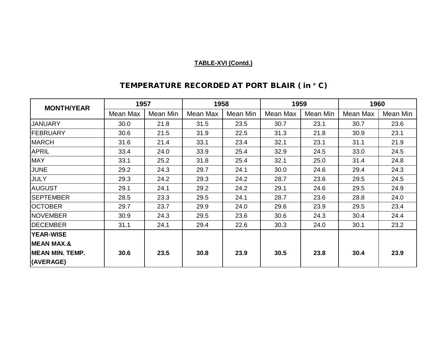| <b>MONTH/YEAR</b>       | 1957     |          | 1958     |          | 1959     |          | 1960     |          |
|-------------------------|----------|----------|----------|----------|----------|----------|----------|----------|
|                         | Mean Max | Mean Min | Mean Max | Mean Min | Mean Max | Mean Min | Mean Max | Mean Min |
| <b>JANUARY</b>          | 30.0     | 21.8     | 31.5     | 23.5     | 30.7     | 23.1     | 30.7     | 23.6     |
| <b>FEBRUARY</b>         | 30.6     | 21.5     | 31.9     | 22.5     | 31.3     | 21.8     | 30.9     | 23.1     |
| <b>MARCH</b>            | 31.6     | 21.4     | 33.1     | 23.4     | 32.1     | 23.1     | 31.1     | 21.9     |
| <b>APRIL</b>            | 33.4     | 24.0     | 33.9     | 25.4     | 32.9     | 24.5     | 33.0     | 24.5     |
| <b>MAY</b>              | 33.1     | 25.2     | 31.8     | 25.4     | 32.1     | 25.0     | 31.4     | 24.8     |
| <b>JUNE</b>             | 29.2     | 24.3     | 29.7     | 24.1     | 30.0     | 24.6     | 29.4     | 24.3     |
| <b>JULY</b>             | 29.3     | 24.2     | 29.3     | 24.2     | 28.7     | 23.6     | 29.5     | 24.5     |
| <b>AUGUST</b>           | 29.1     | 24.1     | 29.2     | 24.2     | 29.1     | 24.6     | 29.5     | 24.9     |
| <b>ISEPTEMBER</b>       | 28.5     | 23.3     | 29.5     | 24.1     | 28.7     | 23.6     | 28.8     | 24.0     |
| <b>OCTOBER</b>          | 29.7     | 23.7     | 29.9     | 24.0     | 29.6     | 23.9     | 29.5     | 23.4     |
| <b>NOVEMBER</b>         | 30.9     | 24.3     | 29.5     | 23.6     | 30.6     | 24.3     | 30.4     | 24.4     |
| <b>DECEMBER</b>         | 31.1     | 24.1     | 29.4     | 22.6     | 30.3     | 24.0     | 30.1     | 23.2     |
| <b>YEAR-WISE</b>        |          |          |          |          |          |          |          |          |
| <b>MEAN MAX.&amp;</b>   |          |          |          |          |          |          |          |          |
| <b>IMEAN MIN. TEMP.</b> | 30.6     | 23.5     | 30.8     | 23.9     | 30.5     | 23.8     | 30.4     | 23.9     |
| (AVERAGE)               |          |          |          |          |          |          |          |          |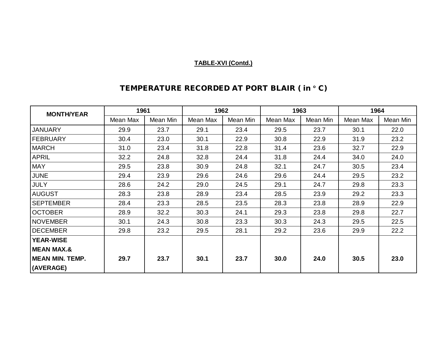| <b>MONTH/YEAR</b> | 1961     |          | 1962     |          | 1963     |          | 1964     |          |
|-------------------|----------|----------|----------|----------|----------|----------|----------|----------|
|                   | Mean Max | Mean Min | Mean Max | Mean Min | Mean Max | Mean Min | Mean Max | Mean Min |
| <b>JANUARY</b>    | 29.9     | 23.7     | 29.1     | 23.4     | 29.5     | 23.7     | 30.1     | 22.0     |
| <b>FEBRUARY</b>   | 30.4     | 23.0     | 30.1     | 22.9     | 30.8     | 22.9     | 31.9     | 23.2     |
| <b>MARCH</b>      | 31.0     | 23.4     | 31.8     | 22.8     | 31.4     | 23.6     | 32.7     | 22.9     |
| <b>APRIL</b>      | 32.2     | 24.8     | 32.8     | 24.4     | 31.8     | 24.4     | 34.0     | 24.0     |
| <b>MAY</b>        | 29.5     | 23.8     | 30.9     | 24.8     | 32.1     | 24.7     | 30.5     | 23.4     |
| <b>JUNE</b>       | 29.4     | 23.9     | 29.6     | 24.6     | 29.6     | 24.4     | 29.5     | 23.2     |
| <b>JULY</b>       | 28.6     | 24.2     | 29.0     | 24.5     | 29.1     | 24.7     | 29.8     | 23.3     |
| <b>AUGUST</b>     | 28.3     | 23.8     | 28.9     | 23.4     | 28.5     | 23.9     | 29.2     | 23.3     |
| <b>SEPTEMBER</b>  | 28.4     | 23.3     | 28.5     | 23.5     | 28.3     | 23.8     | 28.9     | 22.9     |
| <b>OCTOBER</b>    | 28.9     | 32.2     | 30.3     | 24.1     | 29.3     | 23.8     | 29.8     | 22.7     |
| <b>NOVEMBER</b>   | 30.1     | 24.3     | 30.8     | 23.3     | 30.3     | 24.3     | 29.5     | 22.5     |
| <b>DECEMBER</b>   | 29.8     | 23.2     | 29.5     | 28.1     | 29.2     | 23.6     | 29.9     | 22.2     |
| <b>YEAR-WISE</b>  |          |          |          |          |          |          |          |          |
| MEAN MAX.&        |          |          |          |          |          |          |          |          |
| MEAN MIN. TEMP.   | 29.7     | 23.7     | 30.1     | 23.7     | 30.0     | 24.0     | 30.5     | 23.0     |
| (AVERAGE)         |          |          |          |          |          |          |          |          |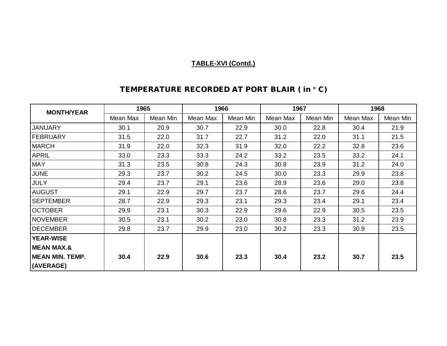| <b>MONTH/YEAR</b>      | 1965     |          | 1966     |          | 1967     |          | 1968     |          |
|------------------------|----------|----------|----------|----------|----------|----------|----------|----------|
|                        | Mean Max | Mean Min | Mean Max | Mean Min | Mean Max | Mean Min | Mean Max | Mean Min |
| <b>JANUARY</b>         | 30.1     | 20.9     | 30.7     | 22.9     | 30.0     | 22.8     | 30.4     | 21.9     |
| <b>FEBRUARY</b>        | 31.5     | 22.0     | 31.7     | 22.7     | 31.2     | 22.0     | 31.1     | 21.5     |
| <b>MARCH</b>           | 31.9     | 22.0     | 32.3     | 31.9     | 32.0     | 22.2     | 32.8     | 23.6     |
| <b>APRIL</b>           | 33.0     | 23.3     | 33.3     | 24.2     | 33.2     | 23.5     | 33.2     | 24.1     |
| <b>MAY</b>             | 31.3     | 23.5     | 30.8     | 24.3     | 30.8     | 23.9     | 31.2     | 24.0     |
| <b>JUNE</b>            | 29.3     | 23.7     | 30.2     | 24.5     | 30.0     | 23.3     | 29.9     | 23.8     |
| <b>JULY</b>            | 29.4     | 23.7     | 29.1     | 23.6     | 28.9     | 23.6     | 29.0     | 23.8     |
| <b>AUGUST</b>          | 29.1     | 22.9     | 29.7     | 23.7     | 28.6     | 23.7     | 29.6     | 24.4     |
| <b>SEPTEMBER</b>       | 28.7     | 22.9     | 29.3     | 23.1     | 29.3     | 23.4     | 29.1     | 23.4     |
| <b>OCTOBER</b>         | 29.9     | 23.1     | 30.3     | 22.9     | 29.6     | 22.9     | 30.5     | 23.5     |
| <b>NOVEMBER</b>        | 30.5     | 23.1     | 30.2     | 23.0     | 30.8     | 23.3     | 31.2     | 23.9     |
| <b>DECEMBER</b>        | 29.8     | 23.7     | 29.9     | 23.0     | 30.2     | 23.3     | 30.9     | 23.5     |
| <b>YEAR-WISE</b>       |          |          |          |          |          |          |          |          |
| <b>MEAN MAX.&amp;</b>  |          |          |          |          |          |          |          |          |
| <b>MEAN MIN. TEMP.</b> | 30.4     | 22.9     | 30.6     | 23.3     | 30.4     | 23.2     | 30.7     | 23.5     |
| (AVERAGE)              |          |          |          |          |          |          |          |          |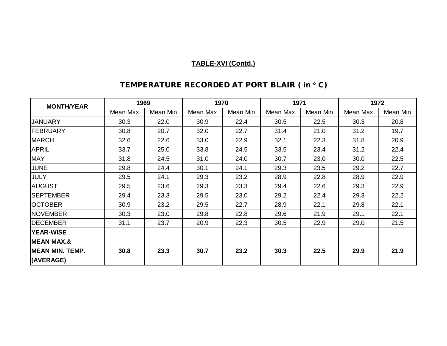| <b>MONTH/YEAR</b>       | 1969     |          | 1970     |          | 1971     |          | 1972     |          |
|-------------------------|----------|----------|----------|----------|----------|----------|----------|----------|
|                         | Mean Max | Mean Min | Mean Max | Mean Min | Mean Max | Mean Min | Mean Max | Mean Min |
| <b>JANUARY</b>          | 30.3     | 22.0     | 30.9     | 22.4     | 30.5     | 22.5     | 30.3     | 20.8     |
| FEBRUARY                | 30.8     | 20.7     | 32.0     | 22.7     | 31.4     | 21.0     | 31.2     | 19.7     |
| <b>MARCH</b>            | 32.6     | 22.6     | 33.0     | 22.9     | 32.1     | 22.3     | 31.8     | 20.9     |
| <b>APRIL</b>            | 33.7     | 25.0     | 33.8     | 24.5     | 33.5     | 23.4     | 31.2     | 22.4     |
| <b>MAY</b>              | 31.8     | 24.5     | 31.0     | 24.0     | 30.7     | 23.0     | 30.0     | 22.5     |
| <b>JUNE</b>             | 29.8     | 24.4     | 30.1     | 24.1     | 29.3     | 23.5     | 29.2     | 22.7     |
| <b>JULY</b>             | 29.5     | 24.1     | 29.3     | 23.2     | 28.9     | 22.8     | 28.9     | 22.9     |
| <b>AUGUST</b>           | 29.5     | 23.6     | 29.3     | 23.3     | 29.4     | 22.6     | 29.3     | 22.9     |
| <b>SEPTEMBER</b>        | 29.4     | 23.3     | 29.5     | 23.0     | 29.2     | 22.4     | 29.3     | 22.2     |
| <b>OCTOBER</b>          | 30.9     | 23.2     | 29.5     | 22.7     | 28.9     | 22.1     | 29.8     | 22.1     |
| NOVEMBER                | 30.3     | 23.0     | 29.8     | 22.8     | 29.6     | 21.9     | 29.1     | 22.1     |
| <b>DECEMBER</b>         | 31.1     | 23.7     | 20.9     | 22.3     | 30.5     | 22.9     | 29.0     | 21.5     |
| <b>YEAR-WISE</b>        |          |          |          |          |          |          |          |          |
| <b>MEAN MAX.&amp;</b>   |          |          |          |          |          |          |          |          |
| <b>IMEAN MIN. TEMP.</b> | 30.8     | 23.3     | 30.7     | 23.2     | 30.3     | 22.5     | 29.9     | 21.9     |
| (AVERAGE)               |          |          |          |          |          |          |          |          |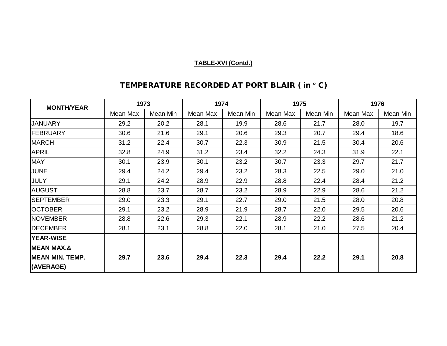| <b>MONTH/YEAR</b>      | 1973     |          | 1974     |          | 1975     |          | 1976     |          |
|------------------------|----------|----------|----------|----------|----------|----------|----------|----------|
|                        | Mean Max | Mean Min | Mean Max | Mean Min | Mean Max | Mean Min | Mean Max | Mean Min |
| <b>JANUARY</b>         | 29.2     | 20.2     | 28.1     | 19.9     | 28.6     | 21.7     | 28.0     | 19.7     |
| FEBRUARY               | 30.6     | 21.6     | 29.1     | 20.6     | 29.3     | 20.7     | 29.4     | 18.6     |
| <b>MARCH</b>           | 31.2     | 22.4     | 30.7     | 22.3     | 30.9     | 21.5     | 30.4     | 20.6     |
| <b>APRIL</b>           | 32.8     | 24.9     | 31.2     | 23.4     | 32.2     | 24.3     | 31.9     | 22.1     |
| <b>MAY</b>             | 30.1     | 23.9     | 30.1     | 23.2     | 30.7     | 23.3     | 29.7     | 21.7     |
| JUNE                   | 29.4     | 24.2     | 29.4     | 23.2     | 28.3     | 22.5     | 29.0     | 21.0     |
| <b>JULY</b>            | 29.1     | 24.2     | 28.9     | 22.9     | 28.8     | 22.4     | 28.4     | 21.2     |
| <b>AUGUST</b>          | 28.8     | 23.7     | 28.7     | 23.2     | 28.9     | 22.9     | 28.6     | 21.2     |
| <b>SEPTEMBER</b>       | 29.0     | 23.3     | 29.1     | 22.7     | 29.0     | 21.5     | 28.0     | 20.8     |
| <b>OCTOBER</b>         | 29.1     | 23.2     | 28.9     | 21.9     | 28.7     | 22.0     | 29.5     | 20.6     |
| <b>NOVEMBER</b>        | 28.8     | 22.6     | 29.3     | 22.1     | 28.9     | 22.2     | 28.6     | 21.2     |
| <b>DECEMBER</b>        | 28.1     | 23.1     | 28.8     | 22.0     | 28.1     | 21.0     | 27.5     | 20.4     |
| <b>YEAR-WISE</b>       |          |          |          |          |          |          |          |          |
| <b>MEAN MAX.&amp;</b>  |          |          |          |          |          |          |          |          |
| <b>MEAN MIN. TEMP.</b> | 29.7     | 23.6     | 29.4     | 22.3     | 29.4     | 22.2     | 29.1     | 20.8     |
| (AVERAGE)              |          |          |          |          |          |          |          |          |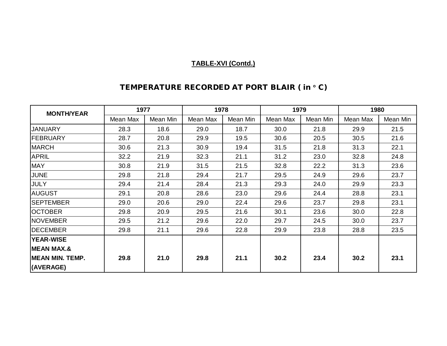| <b>MONTH/YEAR</b>      | 1977     |          | 1978     |          | 1979     |          | 1980     |          |
|------------------------|----------|----------|----------|----------|----------|----------|----------|----------|
|                        | Mean Max | Mean Min | Mean Max | Mean Min | Mean Max | Mean Min | Mean Max | Mean Min |
| <b>JANUARY</b>         | 28.3     | 18.6     | 29.0     | 18.7     | 30.0     | 21.8     | 29.9     | 21.5     |
| FEBRUARY               | 28.7     | 20.8     | 29.9     | 19.5     | 30.6     | 20.5     | 30.5     | 21.6     |
| <b>MARCH</b>           | 30.6     | 21.3     | 30.9     | 19.4     | 31.5     | 21.8     | 31.3     | 22.1     |
| <b>APRIL</b>           | 32.2     | 21.9     | 32.3     | 21.1     | 31.2     | 23.0     | 32.8     | 24.8     |
| <b>MAY</b>             | 30.8     | 21.9     | 31.5     | 21.5     | 32.8     | 22.2     | 31.3     | 23.6     |
| <b>JUNE</b>            | 29.8     | 21.8     | 29.4     | 21.7     | 29.5     | 24.9     | 29.6     | 23.7     |
| <b>JULY</b>            | 29.4     | 21.4     | 28.4     | 21.3     | 29.3     | 24.0     | 29.9     | 23.3     |
| <b>AUGUST</b>          | 29.1     | 20.8     | 28.6     | 23.0     | 29.6     | 24.4     | 28.8     | 23.1     |
| <b>SEPTEMBER</b>       | 29.0     | 20.6     | 29.0     | 22.4     | 29.6     | 23.7     | 29.8     | 23.1     |
| <b>OCTOBER</b>         | 29.8     | 20.9     | 29.5     | 21.6     | 30.1     | 23.6     | 30.0     | 22.8     |
| <b>NOVEMBER</b>        | 29.5     | 21.2     | 29.6     | 22.0     | 29.7     | 24.5     | 30.0     | 23.7     |
| <b>DECEMBER</b>        | 29.8     | 21.1     | 29.6     | 22.8     | 29.9     | 23.8     | 28.8     | 23.5     |
| <b>YEAR-WISE</b>       |          |          |          |          |          |          |          |          |
| <b>MEAN MAX.&amp;</b>  |          |          |          |          |          |          |          |          |
| <b>MEAN MIN. TEMP.</b> | 29.8     | 21.0     | 29.8     | 21.1     | 30.2     | 23.4     | 30.2     | 23.1     |
| (AVERAGE)              |          |          |          |          |          |          |          |          |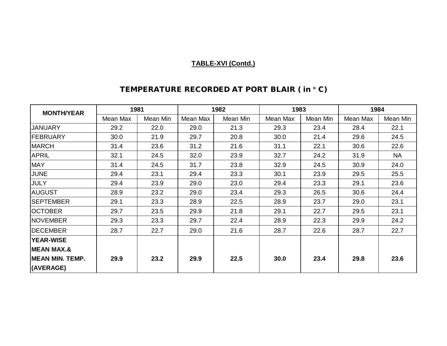| <b>MONTH/YEAR</b>      | 1981     |          |          | 1982     | 1983     |          | 1984     |           |
|------------------------|----------|----------|----------|----------|----------|----------|----------|-----------|
|                        | Mean Max | Mean Min | Mean Max | Mean Min | Mean Max | Mean Min | Mean Max | Mean Min  |
| <b>JANUARY</b>         | 29.2     | 22.0     | 29.0     | 21.3     | 29.3     | 23.4     | 28.4     | 22.1      |
| FEBRUARY               | 30.0     | 21.9     | 29.7     | 20.8     | 30.0     | 21.4     | 29.6     | 24.5      |
| <b>MARCH</b>           | 31.4     | 23.6     | 31.2     | 21.6     | 31.1     | 22.1     | 30.6     | 22.6      |
| <b>APRIL</b>           | 32.1     | 24.5     | 32.0     | 23.9     | 32.7     | 24.2     | 31.9     | <b>NA</b> |
| <b>MAY</b>             | 31.4     | 24.5     | 31.7     | 23.8     | 32.9     | 24.5     | 30.9     | 24.0      |
| <b>JUNE</b>            | 29.4     | 23.1     | 29.4     | 23.3     | 30.1     | 23.9     | 29.5     | 25.5      |
| <b>JULY</b>            | 29.4     | 23.9     | 29.0     | 23.0     | 29.4     | 23.3     | 29.1     | 23.6      |
| <b>AUGUST</b>          | 28.9     | 23.2     | 29.0     | 23.4     | 29.3     | 26.5     | 30.6     | 24.4      |
| <b>SEPTEMBER</b>       | 29.1     | 23.3     | 28.9     | 22.5     | 28.9     | 23.7     | 29.0     | 23.1      |
| <b>OCTOBER</b>         | 29.7     | 23.5     | 29.9     | 21.8     | 29.1     | 22.7     | 29.5     | 23.1      |
| <b>NOVEMBER</b>        | 29.3     | 23.3     | 29.7     | 22.4     | 28.9     | 22.3     | 29.9     | 24.2      |
| <b>DECEMBER</b>        | 28.7     | 22.7     | 29.0     | 21.6     | 28.7     | 22.6     | 28.7     | 22.7      |
| <b>YEAR-WISE</b>       |          |          |          |          |          |          |          |           |
| <b>MEAN MAX.&amp;</b>  |          |          |          |          |          |          |          |           |
| <b>MEAN MIN. TEMP.</b> | 29.9     | 23.2     | 29.9     | 22.5     | 30.0     | 23.4     | 29.8     | 23.6      |
| (AVERAGE)              |          |          |          |          |          |          |          |           |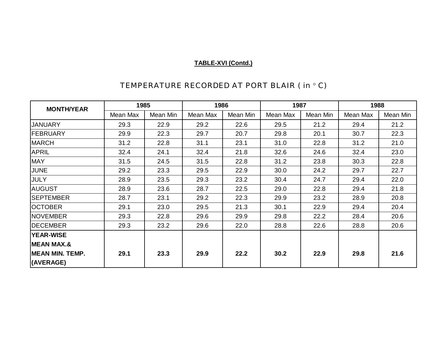| <b>MONTH/YEAR</b>      | 1985     |          | 1986     |          | 1987     |          | 1988     |          |
|------------------------|----------|----------|----------|----------|----------|----------|----------|----------|
|                        | Mean Max | Mean Min | Mean Max | Mean Min | Mean Max | Mean Min | Mean Max | Mean Min |
| <b>JANUARY</b>         | 29.3     | 22.9     | 29.2     | 22.6     | 29.5     | 21.2     | 29.4     | 21.2     |
| FEBRUARY               | 29.9     | 22.3     | 29.7     | 20.7     | 29.8     | 20.1     | 30.7     | 22.3     |
| <b>MARCH</b>           | 31.2     | 22.8     | 31.1     | 23.1     | 31.0     | 22.8     | 31.2     | 21.0     |
| <b>APRIL</b>           | 32.4     | 24.1     | 32.4     | 21.8     | 32.6     | 24.6     | 32.4     | 23.0     |
| <b>MAY</b>             | 31.5     | 24.5     | 31.5     | 22.8     | 31.2     | 23.8     | 30.3     | 22.8     |
| JUNE                   | 29.2     | 23.3     | 29.5     | 22.9     | 30.0     | 24.2     | 29.7     | 22.7     |
| <b>JULY</b>            | 28.9     | 23.5     | 29.3     | 23.2     | 30.4     | 24.7     | 29.4     | 22.0     |
| <b>AUGUST</b>          | 28.9     | 23.6     | 28.7     | 22.5     | 29.0     | 22.8     | 29.4     | 21.8     |
| <b>SEPTEMBER</b>       | 28.7     | 23.1     | 29.2     | 22.3     | 29.9     | 23.2     | 28.9     | 20.8     |
| <b>OCTOBER</b>         | 29.1     | 23.0     | 29.5     | 21.3     | 30.1     | 22.9     | 29.4     | 20.4     |
| <b>NOVEMBER</b>        | 29.3     | 22.8     | 29.6     | 29.9     | 29.8     | 22.2     | 28.4     | 20.6     |
| <b>DECEMBER</b>        | 29.3     | 23.2     | 29.6     | 22.0     | 28.8     | 22.6     | 28.8     | 20.6     |
| <b>YEAR-WISE</b>       |          |          |          |          |          |          |          |          |
| <b>MEAN MAX.&amp;</b>  |          |          |          |          |          |          |          |          |
| <b>MEAN MIN. TEMP.</b> | 29.1     | 23.3     | 29.9     | 22.2     | 30.2     | 22.9     | 29.8     | 21.6     |
| (AVERAGE)              |          |          |          |          |          |          |          |          |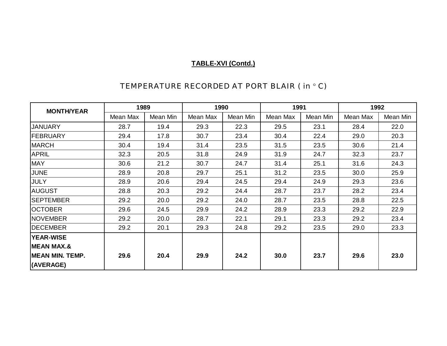| <b>MONTH/YEAR</b>      | 1989     |          | 1990     |          | 1991     |          | 1992     |          |
|------------------------|----------|----------|----------|----------|----------|----------|----------|----------|
|                        | Mean Max | Mean Min | Mean Max | Mean Min | Mean Max | Mean Min | Mean Max | Mean Min |
| <b>JANUARY</b>         | 28.7     | 19.4     | 29.3     | 22.3     | 29.5     | 23.1     | 28.4     | 22.0     |
| FEBRUARY               | 29.4     | 17.8     | 30.7     | 23.4     | 30.4     | 22.4     | 29.0     | 20.3     |
| <b>MARCH</b>           | 30.4     | 19.4     | 31.4     | 23.5     | 31.5     | 23.5     | 30.6     | 21.4     |
| <b>APRIL</b>           | 32.3     | 20.5     | 31.8     | 24.9     | 31.9     | 24.7     | 32.3     | 23.7     |
| <b>MAY</b>             | 30.6     | 21.2     | 30.7     | 24.7     | 31.4     | 25.1     | 31.6     | 24.3     |
| <b>JUNE</b>            | 28.9     | 20.8     | 29.7     | 25.1     | 31.2     | 23.5     | 30.0     | 25.9     |
| <b>JULY</b>            | 28.9     | 20.6     | 29.4     | 24.5     | 29.4     | 24.9     | 29.3     | 23.6     |
| <b>AUGUST</b>          | 28.8     | 20.3     | 29.2     | 24.4     | 28.7     | 23.7     | 28.2     | 23.4     |
| <b>SEPTEMBER</b>       | 29.2     | 20.0     | 29.2     | 24.0     | 28.7     | 23.5     | 28.8     | 22.5     |
| <b>OCTOBER</b>         | 29.6     | 24.5     | 29.9     | 24.2     | 28.9     | 23.3     | 29.2     | 22.9     |
| <b>NOVEMBER</b>        | 29.2     | 20.0     | 28.7     | 22.1     | 29.1     | 23.3     | 29.2     | 23.4     |
| <b>DECEMBER</b>        | 29.2     | 20.1     | 29.3     | 24.8     | 29.2     | 23.5     | 29.0     | 23.3     |
| <b>YEAR-WISE</b>       |          |          |          |          |          |          |          |          |
| <b>MEAN MAX.&amp;</b>  |          |          |          |          |          |          |          |          |
| <b>MEAN MIN. TEMP.</b> | 29.6     | 20.4     | 29.9     | 24.2     | 30.0     | 23.7     | 29.6     | 23.0     |
| (AVERAGE)              |          |          |          |          |          |          |          |          |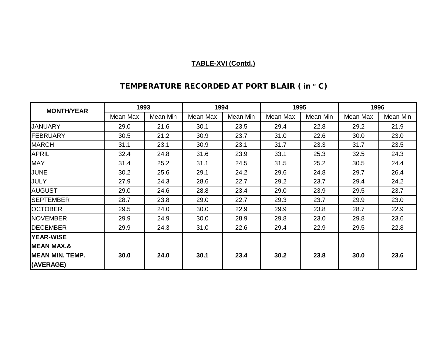| <b>MONTH/YEAR</b>      | 1993     |          | 1994     |          | 1995     |          | 1996     |          |
|------------------------|----------|----------|----------|----------|----------|----------|----------|----------|
|                        | Mean Max | Mean Min | Mean Max | Mean Min | Mean Max | Mean Min | Mean Max | Mean Min |
| <b>JANUARY</b>         | 29.0     | 21.6     | 30.1     | 23.5     | 29.4     | 22.8     | 29.2     | 21.9     |
| FEBRUARY               | 30.5     | 21.2     | 30.9     | 23.7     | 31.0     | 22.6     | 30.0     | 23.0     |
| <b>MARCH</b>           | 31.1     | 23.1     | 30.9     | 23.1     | 31.7     | 23.3     | 31.7     | 23.5     |
| <b>APRIL</b>           | 32.4     | 24.8     | 31.6     | 23.9     | 33.1     | 25.3     | 32.5     | 24.3     |
| <b>MAY</b>             | 31.4     | 25.2     | 31.1     | 24.5     | 31.5     | 25.2     | 30.5     | 24.4     |
| <b>JUNE</b>            | 30.2     | 25.6     | 29.1     | 24.2     | 29.6     | 24.8     | 29.7     | 26.4     |
| <b>JULY</b>            | 27.9     | 24.3     | 28.6     | 22.7     | 29.2     | 23.7     | 29.4     | 24.2     |
| <b>AUGUST</b>          | 29.0     | 24.6     | 28.8     | 23.4     | 29.0     | 23.9     | 29.5     | 23.7     |
| <b>SEPTEMBER</b>       | 28.7     | 23.8     | 29.0     | 22.7     | 29.3     | 23.7     | 29.9     | 23.0     |
| <b>OCTOBER</b>         | 29.5     | 24.0     | 30.0     | 22.9     | 29.9     | 23.8     | 28.7     | 22.9     |
| <b>NOVEMBER</b>        | 29.9     | 24.9     | 30.0     | 28.9     | 29.8     | 23.0     | 29.8     | 23.6     |
| <b>DECEMBER</b>        | 29.9     | 24.3     | 31.0     | 22.6     | 29.4     | 22.9     | 29.5     | 22.8     |
| <b>YEAR-WISE</b>       |          |          |          |          |          |          |          |          |
| <b>MEAN MAX.&amp;</b>  |          |          |          |          |          |          |          |          |
| <b>MEAN MIN. TEMP.</b> | 30.0     | 24.0     | 30.1     | 23.4     | 30.2     | 23.8     | 30.0     | 23.6     |
| (AVERAGE)              |          |          |          |          |          |          |          |          |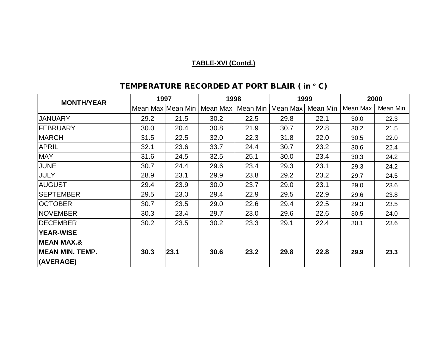| <b>MONTH/YEAR</b>       | 1997              |      | 1998     |          | 1999     |          | 2000     |          |
|-------------------------|-------------------|------|----------|----------|----------|----------|----------|----------|
|                         | Mean Max Mean Min |      | Mean Max | Mean Min | Mean Max | Mean Min | Mean Max | Mean Min |
| JANUARY                 | 29.2              | 21.5 | 30.2     | 22.5     | 29.8     | 22.1     | 30.0     | 22.3     |
| FEBRUARY                | 30.0              | 20.4 | 30.8     | 21.9     | 30.7     | 22.8     | 30.2     | 21.5     |
| <b>MARCH</b>            | 31.5              | 22.5 | 32.0     | 22.3     | 31.8     | 22.0     | 30.5     | 22.0     |
| <b>APRIL</b>            | 32.1              | 23.6 | 33.7     | 24.4     | 30.7     | 23.2     | 30.6     | 22.4     |
| <b>MAY</b>              | 31.6              | 24.5 | 32.5     | 25.1     | 30.0     | 23.4     | 30.3     | 24.2     |
| <b>JUNE</b>             | 30.7              | 24.4 | 29.6     | 23.4     | 29.3     | 23.1     | 29.3     | 24.2     |
| <b>JULY</b>             | 28.9              | 23.1 | 29.9     | 23.8     | 29.2     | 23.2     | 29.7     | 24.5     |
| <b>AUGUST</b>           | 29.4              | 23.9 | 30.0     | 23.7     | 29.0     | 23.1     | 29.0     | 23.6     |
| <b>SEPTEMBER</b>        | 29.5              | 23.0 | 29.4     | 22.9     | 29.5     | 22.9     | 29.6     | 23.8     |
| <b>OCTOBER</b>          | 30.7              | 23.5 | 29.0     | 22.6     | 29.4     | 22.5     | 29.3     | 23.5     |
| <b>NOVEMBER</b>         | 30.3              | 23.4 | 29.7     | 23.0     | 29.6     | 22.6     | 30.5     | 24.0     |
| <b>IDECEMBER</b>        | 30.2              | 23.5 | 30.2     | 23.3     | 29.1     | 22.4     | 30.1     | 23.6     |
| <b>YEAR-WISE</b>        |                   |      |          |          |          |          |          |          |
| <b>IMEAN MAX.&amp;</b>  |                   |      |          |          |          |          |          |          |
| <b>IMEAN MIN. TEMP.</b> | 30.3              | 23.1 | 30.6     | 23.2     | 29.8     | 22.8     | 29.9     | 23.3     |
| (AVERAGE)               |                   |      |          |          |          |          |          |          |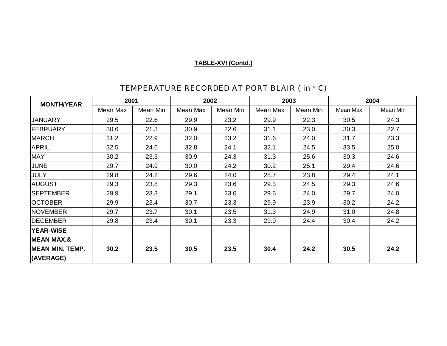| <b>MONTH/YEAR</b>      | 2001     |          | 2002     |          | 2003     |          | 2004     |          |  |
|------------------------|----------|----------|----------|----------|----------|----------|----------|----------|--|
|                        | Mean Max | Mean Min | Mean Max | Mean Min | Mean Max | Mean Min | Mean Max | Mean Min |  |
| <b>JANUARY</b>         | 29.5     | 22.6     | 29.9     | 23.2     | 29.9     | 22.3     | 30.5     | 24.3     |  |
| FEBRUARY               | 30.6     | 21.3     | 30.9     | 22.6     | 31.1     | 23.0     | 30.3     | 22.7     |  |
| <b>MARCH</b>           | 31.2     | 22.9     | 32.0     | 23.2     | 31.6     | 24.0     | 31.7     | 23.3     |  |
| <b>APRIL</b>           | 32.5     | 24.6     | 32.8     | 24.1     | 32.1     | 24.5     | 33.5     | 25.0     |  |
| <b>MAY</b>             | 30.2     | 23.3     | 30.9     | 24.3     | 31.3     | 25.6     | 30.3     | 24.6     |  |
| <b>JUNE</b>            | 29.7     | 24.9     | 30.0     | 24.2     | 30.2     | 25.1     | 29.4     | 24.6     |  |
| <b>JULY</b>            | 29.8     | 24.2     | 29.6     | 24.0     | 28.7     | 23.8     | 29.4     | 24.1     |  |
| <b>AUGUST</b>          | 29.3     | 23.8     | 29.3     | 23.6     | 29.3     | 24.5     | 29.3     | 24.6     |  |
| <b>SEPTEMBER</b>       | 29.9     | 23.3     | 29.1     | 23.0     | 29.6     | 24.0     | 29.7     | 24.0     |  |
| <b>OCTOBER</b>         | 29.9     | 23.4     | 30.7     | 23.3     | 29.9     | 23.9     | 30.2     | 24.2     |  |
| NOVEMBER               | 29.7     | 23.7     | 30.1     | 23.5     | 31.3     | 24.9     | 31.0     | 24.8     |  |
| <b>DECEMBER</b>        | 29.8     | 23.4     | 30.1     | 23.3     | 29.9     | 24.4     | 30.4     | 24.2     |  |
| <b>YEAR-WISE</b>       |          |          |          |          |          |          |          |          |  |
| <b>MEAN MAX.&amp;</b>  |          |          |          |          |          |          |          |          |  |
| <b>MEAN MIN. TEMP.</b> | 30.2     | 23.5     | 30.5     | 23.5     | 30.4     | 24.2     | 30.5     | 24.2     |  |
| (AVERAGE)              |          |          |          |          |          |          |          |          |  |